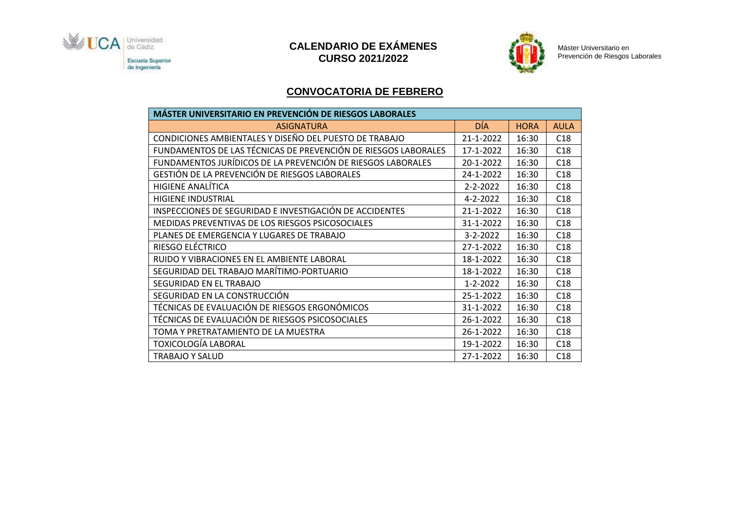

# **CALENDARIO DE EXÁMENES CURSO 2021/2022**



Máster Universitario en Prevención de Riesgos Laborales

### **CONVOCATORIA DE FEBRERO**

| MÁSTER UNIVERSITARIO EN PREVENCIÓN DE RIESGOS LABORALES        |                |             |             |  |  |
|----------------------------------------------------------------|----------------|-------------|-------------|--|--|
| <b>ASIGNATURA</b>                                              | DÍA            | <b>HORA</b> | <b>AULA</b> |  |  |
| CONDICIONES AMBIENTALES Y DISEÑO DEL PUESTO DE TRABAJO         | 21-1-2022      | 16:30       | C18         |  |  |
| FUNDAMENTOS DE LAS TÉCNICAS DE PREVENCIÓN DE RIESGOS LABORALES | 17-1-2022      | 16:30       | C18         |  |  |
| FUNDAMENTOS JURÍDICOS DE LA PREVENCIÓN DE RIESGOS LABORALES    | 20-1-2022      | 16:30       | C18         |  |  |
| GESTIÓN DE LA PREVENCIÓN DE RIESGOS LABORALES                  | 24-1-2022      | 16:30       | C18         |  |  |
| HIGIENE ANALÍTICA                                              | $2 - 2 - 2022$ | 16:30       | C18         |  |  |
| <b>HIGIENE INDUSTRIAL</b>                                      | 4-2-2022       | 16:30       | C18         |  |  |
| INSPECCIONES DE SEGURIDAD E INVESTIGACIÓN DE ACCIDENTES        | 21-1-2022      | 16:30       | C18         |  |  |
| MEDIDAS PREVENTIVAS DE LOS RIESGOS PSICOSOCIALES               | 31-1-2022      | 16:30       | C18         |  |  |
| PLANES DE EMERGENCIA Y LUGARES DE TRABAJO                      | 3-2-2022       | 16:30       | C18         |  |  |
| RIESGO ELÉCTRICO                                               | 27-1-2022      | 16:30       | C18         |  |  |
| RUIDO Y VIBRACIONES EN EL AMBIENTE LABORAL                     | 18-1-2022      | 16:30       | C18         |  |  |
| SEGURIDAD DEL TRABAJO MARÍTIMO-PORTUARIO                       | 18-1-2022      | 16:30       | C18         |  |  |
| SEGURIDAD EN EL TRABAJO                                        | $1 - 2 - 2022$ | 16:30       | C18         |  |  |
| SEGURIDAD EN LA CONSTRUCCIÓN                                   | 25-1-2022      | 16:30       | C18         |  |  |
| TÉCNICAS DE EVALUACIÓN DE RIESGOS ERGONÓMICOS                  | 31-1-2022      | 16:30       | C18         |  |  |
| TÉCNICAS DE EVALUACIÓN DE RIESGOS PSICOSOCIALES                | 26-1-2022      | 16:30       | C18         |  |  |
| TOMA Y PRETRATAMIENTO DE LA MUESTRA                            | 26-1-2022      | 16:30       | C18         |  |  |
| TOXICOLOGÍA LABORAL                                            | 19-1-2022      | 16:30       | C18         |  |  |
| TRABAJO Y SALUD                                                | 27-1-2022      | 16:30       | C18         |  |  |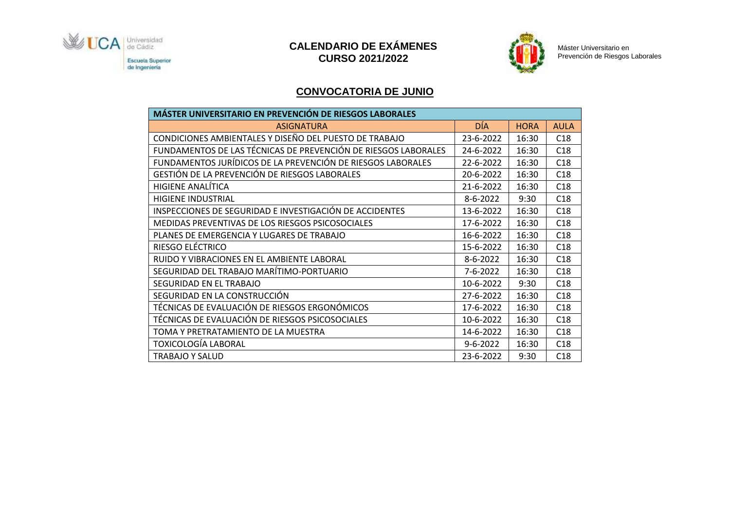

# **CALENDARIO DE EXÁMENES CURSO 2021/2022**



Máster Universitario en Prevención de Riesgos Laborales

### **CONVOCATORIA DE JUNIO**

| <b>MÁSTER UNIVERSITARIO EN PREVENCIÓN DE RIESGOS LABORALES</b> |                |             |             |  |  |
|----------------------------------------------------------------|----------------|-------------|-------------|--|--|
| <b>ASIGNATURA</b>                                              | DÍA            | <b>HORA</b> | <b>AULA</b> |  |  |
| CONDICIONES AMBIENTALES Y DISEÑO DEL PUESTO DE TRABAJO         | 23-6-2022      | 16:30       | C18         |  |  |
| FUNDAMENTOS DE LAS TÉCNICAS DE PREVENCIÓN DE RIESGOS LABORALES | 24-6-2022      | 16:30       | C18         |  |  |
| FUNDAMENTOS JURÍDICOS DE LA PREVENCIÓN DE RIESGOS LABORALES    | 22-6-2022      | 16:30       | C18         |  |  |
| GESTIÓN DE LA PREVENCIÓN DE RIESGOS LABORALES                  | 20-6-2022      | 16:30       | C18         |  |  |
| <b>HIGIENE ANALÍTICA</b>                                       | 21-6-2022      | 16:30       | C18         |  |  |
| <b>HIGIENE INDUSTRIAL</b>                                      | 8-6-2022       | 9:30        | C18         |  |  |
| INSPECCIONES DE SEGURIDAD E INVESTIGACIÓN DE ACCIDENTES        | 13-6-2022      | 16:30       | C18         |  |  |
| MEDIDAS PREVENTIVAS DE LOS RIESGOS PSICOSOCIALES               | 17-6-2022      | 16:30       | C18         |  |  |
| PLANES DE EMERGENCIA Y LUGARES DE TRABAJO                      | 16-6-2022      | 16:30       | C18         |  |  |
| RIESGO ELÉCTRICO                                               | 15-6-2022      | 16:30       | C18         |  |  |
| RUIDO Y VIBRACIONES EN EL AMBIENTE LABORAL                     | $8 - 6 - 2022$ | 16:30       | C18         |  |  |
| SEGURIDAD DEL TRABAJO MARÍTIMO-PORTUARIO                       | 7-6-2022       | 16:30       | C18         |  |  |
| SEGURIDAD EN EL TRABAJO                                        | 10-6-2022      | 9:30        | C18         |  |  |
| SEGURIDAD EN LA CONSTRUCCIÓN                                   | 27-6-2022      | 16:30       | C18         |  |  |
| TÉCNICAS DE EVALUACIÓN DE RIESGOS ERGONÓMICOS                  | 17-6-2022      | 16:30       | C18         |  |  |
| TÉCNICAS DE EVALUACIÓN DE RIESGOS PSICOSOCIALES                | 10-6-2022      | 16:30       | C18         |  |  |
| TOMA Y PRETRATAMIENTO DE LA MUESTRA                            | 14-6-2022      | 16:30       | C18         |  |  |
| <b>TOXICOLOGÍA LABORAL</b>                                     | $9 - 6 - 2022$ | 16:30       | C18         |  |  |
| <b>TRABAJO Y SALUD</b>                                         | 23-6-2022      | 9:30        | C18         |  |  |